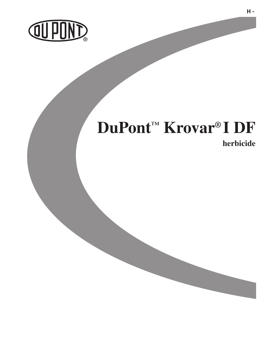

# **DuPont™ Krovar® I DF**

**herbicide** 

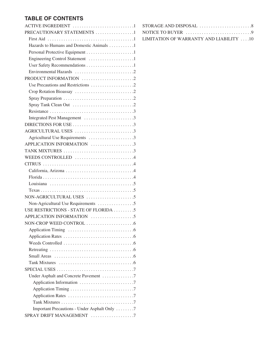# **TABLE OF CONTENTS**

| ACTIVE INGREDIENT 1                          |  |
|----------------------------------------------|--|
| PRECAUTIONARY STATEMENTS 1                   |  |
|                                              |  |
| Hazards to Humans and Domestic Animals 1     |  |
|                                              |  |
| Engineering Control Statement 1              |  |
| User Safety Recommendations 1                |  |
|                                              |  |
| PRODUCT INFORMATION 2                        |  |
|                                              |  |
|                                              |  |
|                                              |  |
|                                              |  |
|                                              |  |
| Integrated Pest Management 3                 |  |
|                                              |  |
| AGRICULTURAL USES 3                          |  |
| Agricultural Use Requirements 3              |  |
| APPLICATION INFORMATION 3                    |  |
| TANK MIXTURES 3                              |  |
| WEEDS CONTROLLED 4                           |  |
|                                              |  |
|                                              |  |
|                                              |  |
|                                              |  |
|                                              |  |
|                                              |  |
|                                              |  |
| USE RESTRICTIONS - STATE OF FLORIDA 5        |  |
| APPLICATION INFORMATION 5                    |  |
|                                              |  |
|                                              |  |
|                                              |  |
|                                              |  |
|                                              |  |
|                                              |  |
|                                              |  |
|                                              |  |
| Under Asphalt and Concrete Pavement 7        |  |
|                                              |  |
|                                              |  |
|                                              |  |
|                                              |  |
| Important Precautions - Under Asphalt Only 7 |  |
| SPRAY DRIFT MANAGEMENT 7                     |  |

| STORAGE AND DISPOSAL $\ldots \ldots \ldots \ldots \ldots \ldots \ldots$     |
|-----------------------------------------------------------------------------|
| NOTICE TO BUYER $\ldots \ldots \ldots \ldots \ldots \ldots \ldots \ldots 9$ |
| LIMITATION OF WARRANTY AND LIABILITY 10                                     |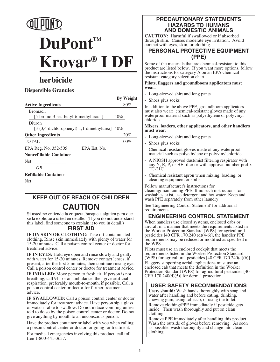

# **DuPont™ Krovar® I DF**

# **herbicide**

## **Dispersible Granules**

**By Weight**

| <b>Active Ingredients</b>                                 | $80\%$ |
|-----------------------------------------------------------|--------|
| <b>Bromacil</b><br>[5-bromo-3-sec-butyl-6-methyluracil]   | 40%    |
| Diuron<br>$[3-(3,4-dichlorophenyl)-1,1-dimethylurea]$ 40% |        |
| <b>Other Ingredients</b>                                  | 20%    |
| <b>TOTAL</b>                                              | 100%   |
| EPA Reg. No. 352-505<br>EPA Est. No.                      |        |
| <b>Nonrefillable Container</b>                            |        |
|                                                           |        |
| 0R                                                        |        |
| <b>Refillable Container</b>                               |        |
| Net:                                                      |        |
|                                                           |        |

# **KEEP OUT OF REACH OF CHILDREN CAUTION**

Si usted no entiende la etiqueta, busque a alguien para que se la explique a usted en detalle. (If you do not understand this label, find someone to explain it to you in detail.)

## **FIRST AID**

**IF ON SKIN OR CLOTHING:** Take off contaminated clothing. Rinse skin immediately with plenty of water for 15-20 minutes. Call a poison control center or doctor for treatment advice.

**IF IN EYES:** Hold eye open and rinse slowly and gently with water for 15-20 minutes. Remove contact lenses, if present, after the first 5 minutes, then continue rinsing eye. Call a poison control center or doctor for treatment advice.

**IF INHALED**: Move person to fresh air. If person is not breathing, call 911 or an ambulance, then give artificial respiration, preferably mouth-to-mouth, if possible. Call a poison control center or doctor for further treatment advice.

**IF SWALLOWED:** Call a poison control center or doctor immediately for treatment advice. Have person sip a glass of water if able to swallow. Do not induce vomiting unless told to do so by the poison control center or doctor. Do not give anything by mouth to an unconscious person.

Have the product container or label with you when calling a poison control center or doctor, or going for treatment.

For medical emergencies involving this product, call toll free 1-800-441-3637.

#### **PRECAUTIONARY STATEMENTS HAZARDS TO HUMANS AND DOMESTIC ANIMALS**

**CAUTION:** Harmful if swallowed or if absorbed through skin. Causes moderate eye irritation. Avoid contact with eyes, skin, or clothing.

## **PERSONAL PROTECTIVE EQUIPMENT (PPE)**

Some of the materials that are chemical-resistant to this product are listed below. If you want more options, follow the instructions for category A on an EPA chemicalresistant category selection chart.

#### **Pilots, flaggers and groundboom applicators must wear:**

- Long-sleeved shirt and long pants
- Shoes plus socks

In addition to the above PPE, groundboom applicators must also wear: chemical-resistant gloves made of any waterproof material such as polyethylene or polyvinyl chloride.

**Mixers, loaders, other applicators, and other handlers must wear:**

- Long-sleeved shirt and long pants
- Shoes plus socks
- Chemical resistant gloves made of any waterproof material such as polyethylene or polyvinylchloride.
- A NIOSH approved dust/mist filtering respirator with any N, R, P, or HE filter or with approval number prefix TC-21C.
- Chemical resistant apron when mixing, loading, or cleaning equipment or spills.

Follow manufacturer's instructions for cleaning/maintaining PPE. If no such instructions for washables exist, use detergent and hot water. Keep and wash PPE separately from other laundry.

See 'Engineering Control Statement' for additional requirements.

## **ENGINEERING CONTROL STATEMENT**

When handlers use closed systems, enclosed cabs or aircraft in a manner that meets the requirements listed in the Worker Protection Standard (WPS) for agricultural pesticides  $[40 \text{ CFR } 170.240 \text{ (d)}\dot{4} - 6]$ , the handler PPE requirements may be reduced or modified as specified in the WPS.

Pilots must use an enclosed cockpit that meets the requirements listed in the Worker Protection Standard (WPS) for agricultural pesticides  $[40 \text{ CFR } 170.240(d)(6)].$ 

Flaggers supporting aerial applications must use an enclosed cab that meets the definition in the Worker Protection Standard (WPS) for agricultural pesticides [40 CFR  $170.240(d)(5)$ ] for dermal protection.

## **USER SAFETY RECOMMENDATIONS**

**Users should:** Wash hands thoroughly with soap and water after handling and before eating, drinking, chewing gum, using tobacco, or using the toilet. Remove clothing/PPE immediately if pesticide gets inside. Then wash thoroughly and put on clean clothing.

Remove PPE immediately after handling this product. Wash the outside of gloves before removing. As soon as possible, wash thoroughly and change into clean clothing.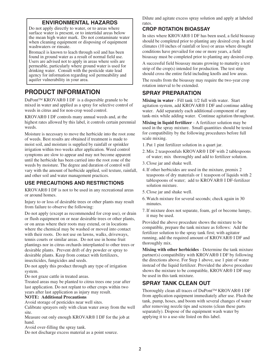## **ENVIRONMENTAL HAZARDS**

Do not apply directly to water, or to areas where surface water is present, or to intertidal areas below the mean high water mark. Do not contaminate water when cleaning equipment or disposing of equipment washwaters or rinsate.

Bromacil is known to leach through soil and has been found in ground water as a result of normal field use. Users are advised not to apply in areas where soils are permeable, particularly where ground water is used for drinking water. Consult with the pesticide state lead agency for information regarding soil permeability and aquifer vulnerability in your area.

# **PRODUCT INFORMATION**

DuPont™ KROVAR® I DF is a dispersible granule to be mixed in water and applied as a spray for selective control of weeds in citrus and for non-crop weed control.

KROVAR® I DF controls many annual weeds and, at the highest rates allowed by this label, it controls certain perennial weeds.

Moisture is necessary to move the herbicide into the root zone of weeds. Best results are obtained if treatment is made to moist soil, and moisture is supplied by rainfall or sprinkler irrigation within two weeks after application. Weed control symptoms are slow to appear and may not become apparent until the herbicide has been carried into the root zone of the weeds by moisture. The degree and duration of control will vary with the amount of herbicide applied, soil texture, rainfall, and other soil and water management practices.

## **USE PRECAUTIONS AND RESTRICTIONS**

KROVAR® I DF is not to be used in any recreational areas or around homes.

Injury to or loss of desirable trees or other plants may result from failure to observe the following:

Do not apply (except as recommended for crop use), or drain or flush equipment on or near desirable trees or other plants, or on areas where their roots may extend, or in locations where the chemical may be washed or moved into contact with their roots. Do not use on lawns, walks, driveways, tennis courts or similar areas. Do not use in home fruit plantings nor in citrus orchards interplanted to other trees or desirable plants. Prevent drift of dry powder or spray to desirable plants. Keep from contact with fertilizers, insecticides, fungicides and seeds.

Do not apply this product through any type of irrigation system.

Do not graze cattle in treated areas.

Treated areas may be planted to citrus trees one year after last application. Do not replant to other crops within two years after last application as injury may result.

#### **NOTE: Additional Precautions**

Avoid storage of pesticides near well sites.

Calibrate sprayers only with clean water away from the well site.

Measure out only enough KROVAR® I DF for the job at hand.

Avoid over-filling the spray tank.

Do not discharge excess material as a point source.

Dilute and agitate excess spray solution and apply at labeled rates.

#### **CROP ROTATION BIOASSAY**

In sites where KROVAR® I DF has been used, a field bioassay should be completed prior to planting any desired crop. In arid climates (10 inches of rainfall or less) or areas where drought conditions have prevailed for one or more years, a field bioassay must be completed prior to planting any desired crop.

A successful field bioassay means growing to maturity a test strip of the crop(s) intended for production. The test strip should cross the entire field including knolls and low areas.

The results from the bioassay may require the two-year crop rotation interval to be extended.

## **SPRAY PREPARATION**

**Mixing in water** - Fill tank 1/2 full with water. Start agitation system, add KROVAR® I DF and continue adding water. Add separately each additional component of any tank-mix while adding water. Continue agitation throughout.

**Mixing in liquid fertilizer** - A fertilizer solution may be used in the spray mixture. Small quantities should be tested for compatibility by the following procedures before full scale mixing.

- 1. Put 1 pint fertilizer solution in a quart jar.
- 2. Mix 2 teaspoonfuls KROVAR® I DF with 2 tablespoons of water; mix thoroughly and add to fertilizer solution.
- 3. Close jar and shake well.
- 4. If other herbicides are used in the mixture, premix 2 teaspoons of dry materials or 1 teaspoon of liquids with 2 tablespoons of water; add to KROVAR® I DF-fertilizer solution mixture.
- 5. Close jar and shake well.
- 6. Watch mixture for several seconds; check again in 30 minutes.
- 7. If mixture does not separate, foam, gel or become lumpy, it may be used.

Provided the above procedure shows the mixture to be compatible, prepare the tank mixture as follows: Add the fertilizer solution to the spray tank first; with agitator running, add the required amount of KROVAR® I DF and thoroughly mix.

**Mixing with other herbicides** - Determine the tank mixture partner(s) compatibility with KROVAR® I DF by following the directions above. For Step 1 above, use 1 pint of water instead of the liquid fertilizer. Provided the above procedure shows the mixture to be compatible, KROVAR® I DF may be used in this tank mixture.

## **SPRAY TANK CLEAN OUT**

Thoroughly clean all traces of DuPont™ KROVAR® I DF from application equipment immediately after use. Flush the tank, pump, hoses, and boom with several changes of water after removing nozzle tips and screens (clean these parts separately). Dispose of the equipment wash water by applying it to a use-site listed on this label.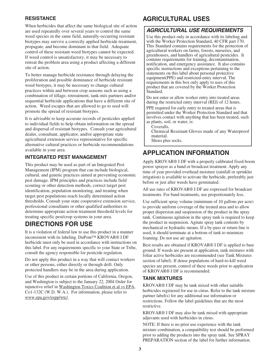#### **RESISTANCE**

When herbicides that affect the same biological site of action are used repeatedly over several years to control the same weed species in the same field, naturally-occurring resistant biotypes may survive a correctly applied herbicide treatment, propagate, and become dominant in that field. Adequate control of these resistant weed biotypes cannot be expected. If weed control is unsatisfactory, it may be necessary to retreat the problem area using a product affecting a different site of action.

To better manage herbicide resistance through delaying the proliferation and possible dominance of herbicide resistant weed biotypes, it may be necessary to change cultural practices within and between crop seasons such as using a combination of tillage, retreatment, tank-mix partners and/or sequential herbicide applications that have a different site of action. Weed escapes that are allowed to go to seed will promote the spread of resistant biotypes.

It is advisable to keep accurate records of pesticides applied to individual fields to help obtain information on the spread and dispersal of resistant biotypes. Consult your agricultural dealer, consultant, applicator, and/or appropriate state agricultural extension service representative for specific alternative cultural practices or herbicide recommendations available in your area.

#### **INTEGRATED PEST MANAGEMENT**

This product may be used as part of an Integrated Pest Management (IPM) program that can include biological, cultural, and genetic practices aimed at preventing economic pest damage. IPM principles and practices include field scouting or other detection methods, correct target pest identification, population monitoring, and treating when target pest populations reach locally determined action thresholds. Consult your state cooperative extension service, professional consultants or other qualified authorities to determine appropriate action treatment threshold levels for treating specific pest/crop systems in your area.

## **DIRECTIONS FOR USE**

It is a violation of federal law to use this product in a manner inconsistent with its labeling. DuPont™ KROVAR® I DF herbicide must only be used in accordance with instructions on this label. For any requirements specific to your State or Tribe, consult the agency responsible for pesticide regulation.

Do not apply this product in a way that will contact workers or other persons, either directly or through drift. Only protected handlers may be in the area during application.

Use of this product in certain portions of California, Oregon, and Washington is subject to the January 22, 2004 Order for injunctive relief in Washington Toxics Coalition et al vs EPA, Co1-132C (W.D. W.A.). For information, please refer to www.epa.gov/espp/wtc/.

## **AGRICULTURAL USES**

## **AGRICULTURAL USE REQUIREMENTS**

Use this product only in accordance with its labeling and with the Worker Protection Standard, 40 CFR part 170. This Standard contains requirements for the protection of agricultural workers on farms, forests, nurseries, and greenhouses, and handlers of agricultural pesticides. It contains requirements for training, decontamination, notification, and emergency assistance. It also contains specific instructions and exceptions pertaining to the statements on this label about personal protective equipment(PPE) and restricted-entry interval. The requirements in this box only apply to uses of this product that are covered by the Worker Protection Standard.

Do not enter or allow worker entry into treated areas during the restricted entry interval (REI) of 12 hours.

PPE required for early entry to treated areas that is permitted under the Worker Protection Standard and that involves contact with anything that has been treated, such as plants, soil, or water, is:

Coveralls. Chemical Resistant Gloves made of any Waterproof material.

Shoes plus socks.

# **APPLICATION INFORMATION**

Apply KROVAR® I DF with a properly calibrated fixed-boom power sprayer as a band or broadcast treatment. Apply any time of year provided overhead moisture (rainfall or sprinkler irrigation) is available to activate the herbicide, preferably just before or just after weeds have germinated.

All use rates of KROVAR® I DF are expressed for broadcast treatments. For band treatments, use proportionately less.

Use sufficient spray volume (minimum of 10 gallons per acre) to provide uniform coverage of the treated area and to allow proper dispersion and suspension of the product in the spray tank. Continuous agitation in the spray tank is required to keep the product in suspension. Agitate spray tank contents by mechanical or hydraulic means. If a by-pass or return line is used, it should terminate at a bottom of tank to minimize foaming. Do not use air agitation.

Best results are obtained if KROVAR® I DF is applied to bare ground. If weeds are present at application, tank mixtures with foliar active herbicides are recommended (see Tank Mixtures section of label). If dense populations of hard-to-kill weed species are present, control of these weeds prior to application of KROVAR® I DF is recommended.

#### **TANK MIXTURES**

KROVAR® I DF may be tank mixed with other suitable herbicides registered for use in citrus. Refer to the tank mixture partner label(s) for any additional use information or restrictions. Follow the label guidelines that are the most restrictive.

KROVAR® I DF may also be tank mixed with appropriate adjuvants used with herbicides in citrus.

NOTE: If there is no prior use experience with the tank mixture combination, a compatibility test should be performed prior to adding the products into the spray tank. See SPRAY PREPARATION section of the label for further information.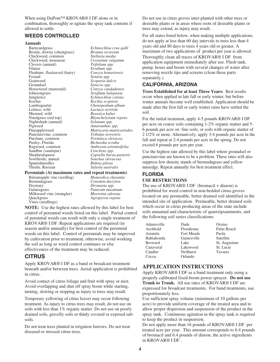#### When using DuPont™ KROVAR® I DF alone or in combination, thoroughly re-agitate the spray tank contents if allowed to settle.

#### **WEEDS CONTROLLED**

#### **Annuals**

Barnyardgrass *Echinochloa crus-galli* Brome, downy (cheatgrass) Chickweed, common *Stellaria media* Chickweed, mouseear *Cerastium vulgatum* Clovers (annual) *Trifolium spp.* Filaree *Erodium spp.*<br>Fleabane, flaxleaved (hairy) *Conyza bonariensis* Fleabane, flaxleaved (hairy) Foxtail *Setaria spp.* Goatweed *Scoparia dulcis*<br>
Groundsel *Senecio spp.* Horseweed (marestail) *Conyza candadensis* Johnsongrass *Sorghum halepense* Kochia *Kochia scoparia* Lambsquarter *Chenopodium album* Mustard, wild *Brassica kaber* Nightshade (annual) *Solanum spp.* Pigweed *Amaranthus spp.* Puncturevine, common *Tribulus terrestris* Pusley, Florida Ragweed, common *Ambrosia artemisifolia* Sandbur (sandspur)<br>Shepherdspurse Sowthistle, annual *Sonchus oleraceus* Thistle, Russian *Salsola australis*

Senecio spp.<br>Conyza candadensis  $Echinochloa$  colona Lettuce, wild *Lactuca serriola* Natalgrass (red top) *Rhynchelytrum repens* Pineappleweed *Matricaria matricariodes* Portulaca oleracea<br>Richardia scraba Shepherdspurse *Capsella bursa-pastoris* Bidens pilosa

#### **Perennials (At maximum rates and repeat treatments)**

Balsamapple vine (seedling) *Momordica charantia* Bermudagrass *Cynodon dactylon* Drymary *Drymaria spp.* Panicum maximum<br>Morrenia odorata Milkweed vine (strangler) *Morrenia odorata* Quackgrass *Agropyron repens* Vines (seedlings)

**NOTE:** Use the highest rates allowed by this label for best control of perennial weeds listed on this label. Partial control of perennial weeds can result with only a single treatment of KROVAR® I DF. Repeat applications are required (in season and/or annually) for best control of the perennial weeds on this label. Control of perennials may be improved by cultivation prior to treatment, otherwise, avoid working the soil as long as weed control continues or else effectiveness of the treatment may be reduced.

## **CITRUS**

Apply KROVAR® I DF as a band or broadcast treatment beneath and/or between trees. Aerial application is prohibited in citrus.

Avoid contact of citrus foliage and fruit with spray or mist. Avoid overlapping and shut off spray boom while starting, turning, slowing or stopping as injury to trees may result.

Temporary yellowing of citrus leaves may occur following treatment. As injury to citrus trees may result, do not use on soils with less than 1% organic matter. Do not use on poorly drained soils, gravelly soils or thinly covered or exposed subsoils.

Do not treat trees planted in irrigation furrows. Do not treat diseased or stressed citrus trees.

Do not use in citrus groves inter-planted with other trees or desirable plants or in areas where roots of desirable plants or trees may extend, as injury may result.

For all states listed below, when making multiple applications, do not apply at less than 60 day intervals to trees less than 4 years old and 80 days to trees 4 years old or greater. A maximum of two applications of product per year is allowed. Thoroughly clean all traces of KROVAR® I DF from application equipment immediately after use. Flush tank, pump, hoses and boom with several changes of water after removing nozzle tips and screens (clean these parts separately.)

## **CALIFORNIA, ARIZONA**

**Trees Established for at least Three Years:** Best results occur when applied in late fall or early winter, but before winter annuals become well established. Application should be made after the first fall or early winter rains have settled the soil.

For the initial treatment, apply 4-5 pounds KROVAR® I DF per acre on coarse soils containing 1-2% organic matter and 5- 6 pounds per acre on fine soils, or soils with organic matter of 2 1/2% or more. Alternatively, apply 3-4 pounds per acre in the fall and repeat at 2-4 pounds per acre in the spring. Do not exceed 6 pounds per acre per year.

Use the highest rate allowed by this label where groundsel or puncturevine are known to be a problem. These rates will also suppress low density stands of bermudagrass and yellow nutsedge. Repeat annually for best treatment effect.

#### **FLORIDA**

#### **USE RESTRICTIONS**

The use of KROVAR<sup>®</sup> I DF (bromacil + diuron) is prohibited for weed control in non-bedded citrus groves located on any permeable, better drained soil identified in the intended site of application. Permeable, better drained soils which occur in citrus producing areas of the state include soils unnamed and characteristic of quartzipsamments, and the following soil series classifications:

| Adamsville     | Dade              | Orsino        |
|----------------|-------------------|---------------|
| Archbold       | Florahome         | Palm Beach    |
| Astatula       | <b>Fort Meade</b> | Paola         |
| Bahiahonda     | Gainesville       | Satellite     |
| <b>Broward</b> | Lake              | St. Augustine |
| Canaveral      | Lakewood          | St. Lucie     |
| Candler        | Neilhurst         | Tavares       |
| Cocoa          | Orlando           |               |

#### **APPLICATION INSTRUCTIONS**

Apply KROVAR® I DF as a band treatment only using a properly calibrated fixed-boom power sprayer. **Do not use Trunk to Trunk.** All use rates of KROVAR® I DF are expressed for broadcast treatments. For band treatments, use proportionately less.

Use sufficient spray volume (minimum of 10 gallons per acre) to provide uniform coverage of the treated area and to allow proper dispersion and suspension of the product in the spray tank. Continuous agitation in the spray tank is required to keep the product in suspension.

Do not apply more than 16 pounds of KROVAR® I DF per treated acre per year. This amount corresponds to 6.4 pounds of bromacil and 6.4 pounds of diuron, the active ingredients in KROVAR® I DF .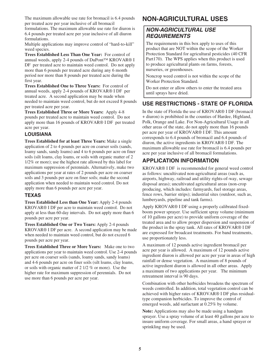The maximum allowable use rate for bromacil is 6.4 pounds per treated acre per year inclusive of all bromacil

formulations. The maximum allowable use rate for diuron is 6.4 pounds per treated acre per year inclusive of all diuron formulations.

Multiple applications may improve control of "hard-to-kill" weed species.

**Trees Established Less Than One Year:** For control of annual weeds, apply 2-4 pounds of DuPont™ KROVAR® I DF per treated acre to maintain weed control. Do not apply more than 6 pounds per treated acre during any 6 month period nor more than 8 pounds per treated acre during the first year.

**Trees Established One to Three Years:** For control of annual weeds, apply 2-4 pounds of KROVAR® I DF per treated acre. A second application may be made when needed to maintain weed control, but do not exceed 8 pounds per treated acre per year.

**Trees Established Three or More Years:** Apply 4-8 pounds per treated acre to maintain weed control. Do not apply more than 16 pounds of KROVAR® I DF per treated acre per year.

#### **LOUISIANA**

**Trees Established for at least Three Years:** Make a single application of 2 to 4 pounds per acre on coarser soils (sands, loamy sands, sandy loams) and 4 to 6 pounds per acre on finer soils (silt loams, clay loams, or soils with organic matter of 2 1/2% or more); use the highest rate allowed by this label for maximum suppression of perennials. Alternatively, make two applications per year at rates of 2 pounds per acre on coarser soils and 3 pounds per acre on finer soils; make the second application when needed to maintain weed control. Do not apply more than 6 pounds per acre per year.

#### **TEXAS**

**Trees Established Less than One Year:** Apply 2-4 pounds KROVAR® I DF per acre to maintain weed control. Do not apply at less than 60-day intervals. Do not apply more than 6 pounds per acre per year.

**Trees Established One or Two Years:** Apply 2-4 pounds KROVAR® I DF per acre. A second application may be made when needed to maintain weed control, but do not exceed 6 pounds per acre per year.

**Trees Established Three or More Years:** Make one to two applications per year to maintain weed control. Use 2-4 pounds per acre on coarser soils (sands, loamy sands, sandy loams) and 4-6 pounds per acre on finer soils (silt loams, clay loams, or soils with organic matter of 2 1/2 % or more). Use the higher rate for maximum suppression of perennials. Do not use more than 6 pounds per acre per year.

# **NON-AGRICULTURAL USES**

## **NON-AGRICULTURAL USE REQUIREMENTS**

The requirements in this box apply to uses of this product that are NOT within the scope of the Worker Protection Standard for agricultural pesticides (40 CFR Part170). The WPS applies when this product is used to produce agricultural plants on farms, forests, nurseries, or greenhouses.

Noncrop weed control is not within the scope of the Worker Protection Standard.

Do not enter or allow others to enter the treated area until sprays have dried.

## **USE RESTRICTIONS - STATE OF FLORIDA**

In the state of Florida the use of KROVAR® I DF (bromacil + diuron) is prohibited in the counties of Hardee, Highland, Polk, Orange and Lake. For Non-Agricultural Usage in all other areas of the state, do not apply more than 16 pounds per acre per year of KROVAR® I DF. This amount corresponds to 6.4 pounds of bromacil and 6.4 pounds of diuron, the active ingredients in KROVAR® I DF. The maximum allowable use rate for bromacil is 6.4 pounds per acre per year inclusive of all bromacil formulations.

## **APPLICATION INFORMATION**

KROVAR® I DF is recommended for general weed control as follows: uncultivated non-agricultural areas (such as, airports, highway, railroad and utility rights-of-way, sewage disposal areas); uncultivated agricultural areas (non-crop producing, which includes: farmyards, fuel storage areas, fence rows, barrier strips); industrial sites (outdoor, such as, lumberyards, pipeline and tank farms).

Apply KROVAR® I DF using a properly calibrated fixedboom power sprayer. Use sufficient spray volume (minimum of 10 gallons per acre) to provide uniform coverage of the treated area and to allow proper dispersion and suspension of the product in the spray tank. All rates of KROVAR® I DF are expressed for broadcast treatments. For band treatments, use proportionately less.

A maximum of 12 pounds active ingredient bromacil per acre per year is allowed. A maximum of 12 pounds active ingredient diuron is allowed per acre per year in areas of high rainfall or dense vegetation. A maximum of 8 pounds of active ingredient diuron is allowed in all other areas. Apply a maximum of two applications per year. The minimum retreatment interval is 90 days.

Combination with other herbicides broadens the spectrum of weeds controlled. In addition, total vegetation control can be achieved with higher rates of KROVAR® I DF plus residualtype companion herbicides. To improve the control of emerged weeds, add surfactant at 0.25% by volume.

**Note:** Applications may also be made using a handgun sprayer. Use a spray volume of at least 40 gallons per acre to insure uniform coverage. For small areas, a hand sprayer or sprinkling may be used.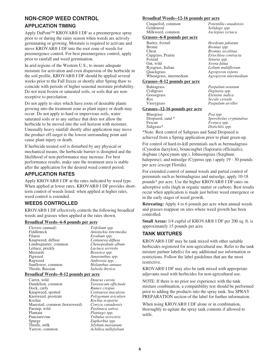### **NON-CROP WEED CONTROL**

#### **APPLICATION TIMING**

Apply DuPont™ KROVAR® I DF as a preemergence spray prior to or during the rainy season when weeds are actively germinating or growing. Moisture is required to activate and move KROVAR® I DF into the root zone of weeds for preemergence control. For best preemergence control, apply prior to rainfall and weed germination.

In arid regions of the Western U.S., to insure adequate moisture for activation and even dispersion of the herbicide in the soil profile, KROVAR® I DF should be applied several weeks prior to the Fall freeze or shortly after Spring thaw to coincide with periods of higher seasonal moisture probability. Do not treat frozen or saturated soils, or soils that are nonreceptive to percolation.

Do not apply to sites which have roots of desirable plants growing into the treatment zone as plant injury or death may occur. Do not apply to hard or impervious soils, water saturated soils or to any surface that does not allow the herbicide to be moved into the soil horizon with moisture. Unusually heavy rainfall shortly after application may move the product off-target to the lowest surrounding point and cause plant injury or death.

If herbicide treated soil is disturbed by any physical or mechanical means, the herbicide barrier is disrupted and the likelihood of non-performance may increase. For best performance results, make sure the treatment area is stable after the application for the desired weed control period.

## **APPLICATION RATES**

Apply KROVAR® I DF at the rates indicated by weed type. When applied at lower rates, KROVAR® I DF provides shortterm control of weeds listed; when applied at higher rates, weed control is extended.

#### **WEEDS CONTROLLED**

KROVAR® I DF effectively controls the following broadleaf weeds and grasses when applied at the rates shown.

#### **Broadleaf Weeds--6-8 pounds per acre**

| Clovers (annual)     | Trifolium spp.       |
|----------------------|----------------------|
| Fiddleneck           | Amsinckia intermedia |
| Filaree              | Erodium spp.         |
| Knapweed, diffuse    | Centaurea diffusa    |
| Lambsquarter, common | Chenopodium album    |
| Lettuce, prickly     | Lactuca serriola     |
| <b>Mustards</b>      | Brassica spp.        |
| Pigweed              | Amaranthus spp.      |
| Ragweed              | Ambrosia spp.        |
| Sunflower, common    | Helianthus annuus    |
| Thistle, Russian     | Salsola iberica      |

#### **Broadleaf Weeds--8-12 pounds per acre**

| Carrot, wild                  | Daucus carota        |
|-------------------------------|----------------------|
| Dandelion, common             | Taraxacum officinale |
| Dock, curly                   | Rumex crispus        |
| Knapweed, spotted             | Centaurea maculosa   |
| Knotweed, prostrate           | Polygonum aviculare  |
| Kochia                        | Kochia scoparia      |
| Marestail, common (horseweed) | Conyza canadensis    |
| Parsnip, wild                 | Pastinaca sativa     |
| Plantain                      | Plantago spp.        |
| Puncturevine                  | Tribulus terrestris  |
| Spurge                        | Euphorbia spp.       |
| Thistle, milk                 | Silybum marianum     |
| Yarrow, common                | Achillea millefolium |

#### **Broadleaf Weeds--12-16 pounds per acre**

Milkweed, common *Asclepias syriaca*

Barley, foxtail *Hordeum jubatum* Bromus spp. Bromus secalinus Cupgrass, Prairie *Eriochloa contracta* Foxtail *Setaria spp.* Avena fatua Ryegrass, Italian *Lolium multiflorum* Quackgrass *Agropyron repens* Wheatgrass, intermediate *Agropyron intermedium*

Eleusine indica

Paspalum urvillei

Cinquefoil, common *Potentilla canadensis* Goldenrod *Solidago spp.*<br>Milkweed common *Asclenias syr.* 

#### **Grasses--6-8 pounds per acre**

| Barley, foxtail          |
|--------------------------|
| <b>Brome</b>             |
| Cheat                    |
| Cupgrass, Prairie        |
| Foxtail                  |
| Oat, wild                |
| Ryegrass, Italian        |
| Quackgrass               |
| Wheatgrass, intermediate |

#### **Grasses--8-12 pounds per acre**

Bahiagrass *Paspalum notatum* Crabgrass *Digitaria spp.* Rye *Secale cereale*

#### **Grasses--12-16 pounds per acre**

Bluegrass *Poa spp.*<br>Dropseed, sand \* *Sporobo.* Dropseed, sand \* *Sporobolus cryptandrus* Fescue *Festuca spp.*<br>
Saltgrass\* *Distichlis sp* Distichlis spp.

\*Note: Best control of Saltgrass and Sand Dropseed is achieved from a Spring application prior to plant green-up.

For control of hard-to-kill perennials such as bermudagrass (Cynodon dactylon), bouncingbet (Saporaria officinalis), dogbane (Apocynum spp.), Johnsongrass (Sorghum halepense), and nutsedge (Cyperus spp.) apply 19 - 30 pounds per acre (except Florida).

For extended control of annual weeds and partial control of perennials such as bermudagrass and nutsedge, apply 10-18 pounds\* per acre. Use the higher KROVAR® I DF rates on adsorptive soils (high in organic matter or carbon). Best results occur when application is made just before weed emergence or in the early stages of weed growth.

**Retreating:** Apply 4 to 6 pounds per acre when annual weeds and grasses reappear on sites where weed growth has been controlled.

**Small Areas:** 1/4 cupful of KROVAR® I DF per 200 sq. ft. is approximately 15 pounds per acre.

#### **TANK MIXTURES**

KROVAR® I DF may be tank mixed with other suitable herbicides registered for non-agricultural use. Refer to the tank mixture partner label(s) for any additional use information or restrictions. Follow the label guidelines that are the most restrictive.

KROVAR® I DF may also be tank mixed with appropriate adjuvants used with herbicides for non-agricultural use.

NOTE: If there is no prior use experience with the tank mixture combination, a compatibility test should be performed prior to adding the products into the spray tank. See SPRAY PREPARATION section of the label for further information.

When using KROVAR<sup>®</sup> I DF alone or in combination, thoroughly re-agitate the spray tank contents if allowed to settle.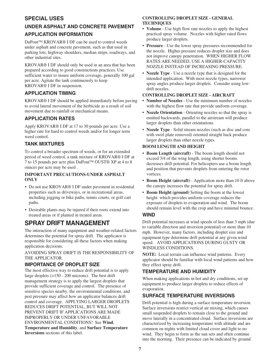## **SPECIAL USES**

## **UNDER ASPHALT AND CONCRETE PAVEMENT APPLICATION INFORMATION**

DuPont™ KROVAR® I DF can be used to control weeds under asphalt and concrete pavement, such as that used in parking lots, highway shoulders, median strips, roadways, and other industrial sites.

KROVAR® I DF should only be used in an area that has been prepared according to good constructions practices. Use sufficient water to insure uniform coverage, generally 100 gal per acre. Agitate the tank continuously to keep KROVAR® I DF in suspension.

#### **APPLICATION TIMING**

KROVAR® I DF should be applied immediately before paving to avoid lateral movement of the herbicide as a result of soil movement due to rainfall or mechanical means.

## **APPLICATION RATES**

Apply KROVAR® I DF at 17 to 30 pounds per acre. Use a higher rate for hard to control weeds and/or for longer term weed control.

## **TANK MIXTURES**

To control a broader spectrum of weeds, or for an extended period of weed control, a tank mixture of KROVAR® I DF at 7 to 15 pounds per acre plus DuPont™ OUST® XP at 4 to 8 ounces per acre may be used .

#### **IMPORTANT PRECAUTIONS-UNDER ASPHALT ONLY**

- Do not use KROVAR® I DF under pavement in residential properties such as driveways, or in recreational areas, including jogging or bike paths, tennis courts, or golf cart paths.
- Desirable plants may be injured if their roots extend into treated areas or if planted in treated areas.

## **SPRAY DRIFT MANAGEMENT**

The interaction of many equipment and weather-related factors determines the potential for spray drift. The applicator is responsible for considering all these factors when making application decisions.

#### AVOIDING SPRAY DRIFT IS THE RESPONSIBILITY OF THE APPLICATOR.

#### **IMPORTANCE OF DROPLET SIZE**

The most effective way to reduce drift potential is to apply large droplets (>150 - 200 microns). The best drift management strategy is to apply the largest droplets that provide sufficient coverage and control. The presence of sensitive species nearby, the environmental conditions, and pest pressure may affect how an applicator balances drift control and coverage. APPLYING LARGER DROPLETS REDUCES DRIFT POTENTIAL, BUT WILL NOT PREVENT DRIFT IF APPLICATIONS ARE MADE IMPROPERLY OR UNDER UNFAVORABLE ENVIRONMENTAL CONDITIONS! See **Wind**, **Temperature and Humidity**, and **Surface Temperature Inversions** sections of this label.

#### **CONTROLLING DROPLET SIZE - GENERAL TECHNIQUES**

- **Volume** Use high flow rate nozzles to apply the highest practical spray volume. Nozzles with higher rated flows produce larger droplets.
- **Pressure** Use the lower spray pressures recommended for the nozzle. Higher pressure reduces droplet size and does not improve canopy penetration. WHEN HIGHER FLOW RATES ARE NEEDED, USE A HIGHER-CAPACITY NOZZLE INSTEAD OF INCREASING PRESSURE.
- **Nozzle Type** Use a nozzle type that is designed for the intended application. With most nozzle types, narrower spray angles produce larger droplets. Consider using lowdrift nozzles.

#### **CONTROLLING DROPLET SIZE - AIRCRAFT**

- **Number of Nozzles**  Use the minimum number of nozzles with the highest flow rate that provide uniform coverage.
- **Nozzle Orientation** Orienting nozzles so that the spray is emitted backwards, parallel to the airstream will produce larger droplets than other orientations.
- **Nozzle Type** Solid stream nozzles (such as disc and core with swirl plate removed) oriented straight back produce larger droplets than other nozzle types.

#### **BOOM LENGTH AND HEIGHT**

- **Boom Length (aircraft)** The boom length should not exceed 3/4 of the wing length, using shorter booms decreases drift potential. For helicopters use a boom length and position that prevents droplets from entering the rotor vortices.
- **Boom Height (aircraft)** Application more than 10 ft above the canopy increases the potential for spray drift.
- **Boom Height (ground)** Setting the boom at the lowest height which provides uniform coverage reduces the exposure of droplets to evaporation and wind. The boom should remain level with the crop and have minimal bounce.

#### **WIND**

Drift potential increases at wind speeds of less than 3 mph (due to variable direction and inversion potential) or more than 10 mph. However, many factors, including droplet size and equipment type determine drift potential at any given wind speed. AVOID APPLICATIONS DURING GUSTY OR WINDLESS CONDITIONS.

**NOTE:** Local terrain can influence wind patterns. Every applicator should be familiar with local wind patterns and how they effect spray drift.

## **TEMPERATURE AND HUMIDITY**

When making applications in hot and dry conditions, set up equipment to produce larger droplets to reduce effects of evaporation.

#### **SURFACE TEMPERATURE INVERSIONS**

Drift potential is high during a surface temperature inversion. Surface inversions restrict vertical air mixing, which causes small suspended droplets to remain close to the ground and move laterally in a concentrated cloud. Surface inversions are characterized by increasing temperature with altitude and are common on nights with limited cloud cover and light to no wind. They begin to form as the sun sets and often continue into the morning. Their presence can be indicated by ground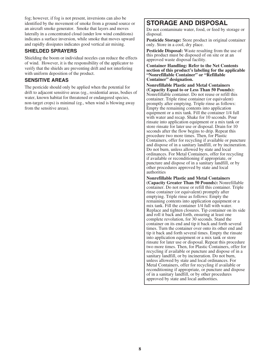fog; however, if fog is not present, inversions can also be identified by the movement of smoke from a ground source or an aircraft smoke generator. Smoke that layers and moves laterally in a concentrated cloud (under low wind conditions) indicates a surface inversion, while smoke that moves upward and rapidly dissipates indicates good vertical air mixing.

#### **SHIELDED SPRAYERS**

Shielding the boom or individual nozzles can reduce the effects of wind. However, it is the responsibility of the applicator to verify that the shields are preventing drift and not interfering with uniform deposition of the product.

#### **SENSITIVE AREAS**

The pesticide should only be applied when the potential for drift to adjacent sensitive areas (eg., residential areas, bodies of water, known habitat for threatened or endangered species, non-target crops) is minimal (eg., when wind is blowing away from the sensitive areas).

# **STORAGE AND DISPOSAL**

Do not contaminate water, food, or feed by storage or disposal.

**Pesticide Storage:** Store product in original container only. Store in a cool, dry place.

**Pesticide Disposal:** Waste resulting from the use of this product must be disposed of on site or at an approved waste disposal facility.

**Container Handling: Refer to the Net Contents section of this product's labeling for the applicable "Nonrefillable Container" or "Refillable Container" designation.**

**Nonrefillable Plastic and Metal Containers (Capacity Equal to or Less Than 50 Pounds):** Nonrefillable container. Do not reuse or refill this container. Triple rinse container (or equivalent) promptly after emptying. Triple rinse as follows: Empty the remaining contents into application equipment or a mix tank. Fill the container 1/4 full with water and recap. Shake for 10 seconds. Pour rinsate into application equipment or a mix tank or store rinsate for later use or disposal. Drain for 10 seconds after the flow begins to drip. Repeat this procedure two more times. Then, for Plastic Containers, offer for recycling if available or puncture and dispose of in a sanitary landfill, or by incineration. Do not burn, unless allowed by state and local ordinances. For Metal Containers, offer for recycling if available or reconditioning if appropriate, or puncture and dispose of in a sanitary landfill, or by other procedures approved by state and local authorities

**Nonrefillable Plastic and Metal Containers (Capacity Greater Than 50 Pounds):** Nonrefillable container. Do not reuse or refill this container. Triple rinse container (or equivalent) promptly after emptying. Triple rinse as follows: Empty the remaining contents into application equipment or a mix tank. Fill the container 1/4 full with water. Replace and tighten closures. Tip container on its side and roll it back and forth, ensuring at least one complete revolution, for 30 seconds. Stand the container on its end and tip it back and forth several times. Turn the container over onto its other end and tip it back and forth several times. Empty the rinsate into application equipment or a mix tank or store rinsate for later use or disposal. Repeat this procedure two more times. Then, for Plastic Containers, offer for recycling if available or puncture and dispose of in a sanitary landfill, or by incineration. Do not burn, unless allowed by state and local ordinances. For Metal Containers, offer for recycling if available or reconditioning if appropriate, or puncture and dispose of in a sanitary landfill, or by other procedures approved by state and local authorities.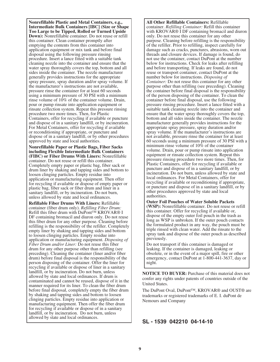**Nonrefillable Plastic and Metal Containers, e.g., Intermediate Bulk Containers [IBC] (Size or Shape Too Large to be Tipped, Rolled or Turned Upside Down):** Nonrefillable container. Do not reuse or refill this container. Clean container promptly after emptying the contents from this container into application equipment or mix tank and before final disposal using the following pressure rinsing procedure. Insert a lance fitted with a suitable tank cleaning nozzle into the container and ensure that the water spray thoroughly covers the top, bottom and all sides inside the container. The nozzle manufacturer generally provides instructions for the appropriate spray pressure, spray duration and/or spray volume. If the manufacturer's instructions are not available, pressure rinse the container for at least 60 seconds using a minimum pressure of 30 PSI with a minimum rinse volume of 10% of the container volume. Drain, pour or pump rinsate into application equipment or rinsate collection system. Repeat this pressure rinsing procedure two more times. Then, for Plastic Containers, offer for recycling if available or puncture and dispose of in a sanitary landfill, or by incineration. For Metal Containers, offer for recycling if available or reconditioning if appropriate, or puncture and dispose of in a sanitary landfill, or by other procedures approved by state and local authorities.

**Nonrefillable Paper or Plastic Bags, Fiber Sacks including Flexible Intermediate Bulk Containers (FIBC) or Fiber Drums With Liners:** Nonrefillable container. Do not reuse or refill this container. Completely empty paper or plastic bag, fiber sack or drum liner by shaking and tapping sides and bottom to loosen clinging particles. Empty residue into application or manufacturing equipment. Then offer for recycling if available or dispose of empty paper or plastic bag, fiber sack or fiber drum and liner in a sanitary landfill, or by incineration. Do not burn, unless allowed by state and local ordinances.

**Refillable Fiber Drums With Liners:** Refillable container (fiber drum only). *Refilling Fiber Drum:* Refill this fiber drum with DuPont™ KROVAR<sup>®</sup> I DF containing bromacil and diuron only. Do not reuse this fiber drum for any other purpose. Cleaning before refilling is the responsibility of the refiller. Completely empty liner by shaking and tapping sides and bottom to loosen clinging particles. Empty residue into application or manufacturing equipment. *Disposing of Fiber Drum and/or Liner:* Do not reuse this fiber drum for any other purpose other than refilling (see preceding). Cleaning the container (liner and/or fiber drum) before final disposal is the responsibility of the person disposing of the container. Offer the liner for recycling if available or dispose of liner in a sanitary landfill, or by incineration. Do not burn, unless allowed by state and local ordinances. If drum is contaminated and cannot be reused, dispose of it in the manner required for its liner. To clean the fiber drum before final disposal, completely empty the fiber drum by shaking and tapping sides and bottom to loosen clinging particles. Empty residue into application or manufacturing equipment. Then offer the fiber drum for recycling if available or dispose of in a sanitary landfill, or by incineration. Do not burn, unless allowed by state and local ordinances.

**All Other Refillable Containers:** Refillable container. *Refilling Container:* Refill this container with KROVAR<sup>®</sup> I DF containing bromacil and diuron only. Do not reuse this container for any other purpose. Cleaning before refilling is the responsibility of the refiller. Prior to refilling, inspect carefully for damage such as cracks, punctures, abrasions, worn out threads and closure devices. If damage is found, do not use the container, contact DuPont at the number below for instructions. Check for leaks after refilling and before transporting. If leaks are found, do not reuse or transport container, contact DuPont at the number below for instructions. *Disposing of Container:* Do not reuse this container for any other purpose other than refilling (see preceding). Cleaning the container before final disposal is the responsibility of the person disposing of the container. To clean the container before final disposal, use the following pressure rinsing procedure. Insert a lance fitted with a suitable tank cleaning nozzle into the container and ensure that the water spray thoroughly covers the top, bottom and all sides inside the container. The nozzle manufacturer generally provides instructions for the appropriate spray pressure, spray duration and/or spray volume. If the manufacturer's instructions are not available, pressure rinse the container for at least 60 seconds using a minimum pressure of 30 PSI with a minimum rinse volume of 10% of the container volume. Drain, pour or pump rinsate into application equipment or rinsate collection system. Repeat this pressure rinsing procedure two more times. Then, for Plastic Containers, offer for recycling if available or puncture and dispose of in a sanitary landfill, or by incineration. Do not burn, unless allowed by state and local ordinances. For Metal Containers, offer for recycling if available or reconditioning if appropriate, or puncture and dispose of in a sanitary landfill, or by other procedures approved by state and local authorities.

**Outer Foil Pouches of Water Soluble Packets (WSP):** Nonrefillable container. Do not reuse or refill this container. Offer for recycling if available or, dispose of the empty outer foil pouch in the trash as long as WSP is unbroken. If the outer pouch contacts the formulated product in any way, the pouch must be triple rinsed with clean water. Add the rinsate to the spray tank and dispose of the outer pouch as described previously.

Do not transport if this container is damaged or leaking. If the container is damaged, leaking or obsolete, or in the event of a major spill, fire or other emergency, contact DuPont at 1-800-441-3637, day or night.

**NOTICE TO BUYER:** Purchase of this material does not confer any rights under patents of countries outside of the United States.

The DuPont Oval, DuPont™, KROVAR® and OUST® are trademarks or registered trademarks of E. I. duPont de Nemours and Company

**SL - 1539 042210 04-14-10**